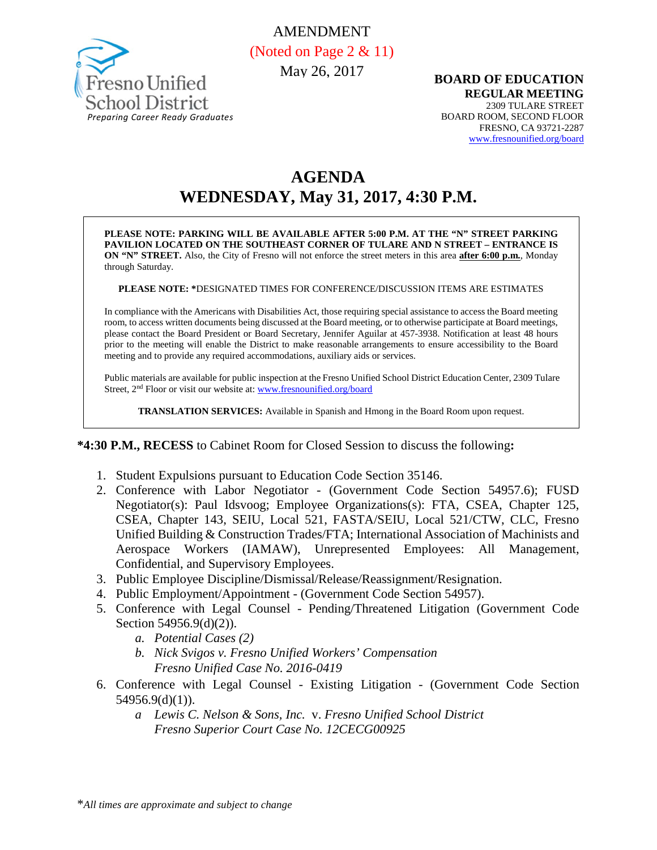

AMENDMENT (Noted on Page 2 & 11) May 26, 2017

**BOARD OF EDUCATION REGULAR MEETING** 2309 TULARE STREET BOARD ROOM, SECOND FLOOR FRESNO, CA 93721-2287 [www.fresnounified.org/board](http://www.fresnounified.org/board)

# **AGENDA WEDNESDAY, May 31, 2017, 4:30 P.M.**

**PLEASE NOTE: PARKING WILL BE AVAILABLE AFTER 5:00 P.M. AT THE "N" STREET PARKING PAVILION LOCATED ON THE SOUTHEAST CORNER OF TULARE AND N STREET – ENTRANCE IS ON "N" STREET.** Also, the City of Fresno will not enforce the street meters in this area **after 6:00 p.m.**, Monday through Saturday.

**PLEASE NOTE: \***DESIGNATED TIMES FOR CONFERENCE/DISCUSSION ITEMS ARE ESTIMATES

In compliance with the Americans with Disabilities Act, those requiring special assistance to access the Board meeting room, to access written documents being discussed at the Board meeting, or to otherwise participate at Board meetings, please contact the Board President or Board Secretary, Jennifer Aguilar at 457-3938. Notification at least 48 hours prior to the meeting will enable the District to make reasonable arrangements to ensure accessibility to the Board meeting and to provide any required accommodations, auxiliary aids or services.

Public materials are available for public inspection at the Fresno Unified School District Education Center, 2309 Tulare Street, 2nd Floor or visit our website at: [www.fresnounified.org/board](http://www.fresnounified.org/board)

**TRANSLATION SERVICES:** Available in Spanish and Hmong in the Board Room upon request.

**\*4:30 P.M., RECESS** to Cabinet Room for Closed Session to discuss the following**:**

- 1. Student Expulsions pursuant to Education Code Section 35146.
- 2. Conference with Labor Negotiator (Government Code Section 54957.6); FUSD Negotiator(s): Paul Idsvoog; Employee Organizations(s): FTA, CSEA, Chapter 125, CSEA, Chapter 143, SEIU, Local 521, FASTA/SEIU, Local 521/CTW, CLC, Fresno Unified Building & Construction Trades/FTA; International Association of Machinists and Aerospace Workers (IAMAW), Unrepresented Employees: All Management, Confidential, and Supervisory Employees.
- 3. Public Employee Discipline/Dismissal/Release/Reassignment/Resignation.
- 4. Public Employment/Appointment (Government Code Section 54957).
- 5. Conference with Legal Counsel Pending/Threatened Litigation (Government Code Section 54956.9(d)(2)).
	- *a. Potential Cases (2)*
	- *b. Nick Svigos v. Fresno Unified Workers' Compensation Fresno Unified Case No. 2016-0419*
- 6. Conference with Legal Counsel Existing Litigation (Government Code Section 54956.9(d)(1)).
	- *a Lewis C. Nelson & Sons, Inc.* v. *Fresno Unified School District Fresno Superior Court Case No. 12CECG00925*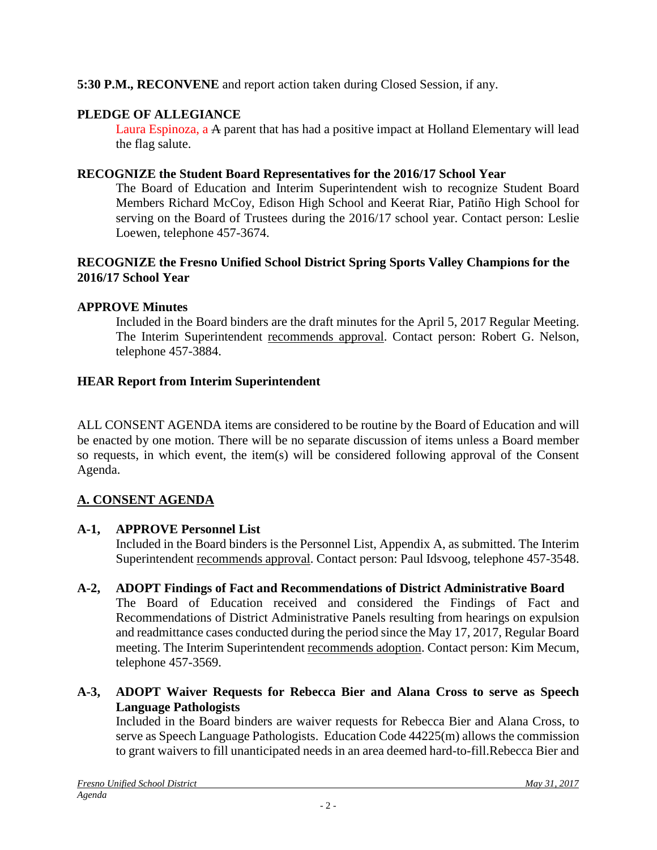# **5:30 P.M., RECONVENE** and report action taken during Closed Session, if any.

# **PLEDGE OF ALLEGIANCE**

Laura Espinoza, a A parent that has had a positive impact at Holland Elementary will lead the flag salute.

## **RECOGNIZE the Student Board Representatives for the 2016/17 School Year**

The Board of Education and Interim Superintendent wish to recognize Student Board Members Richard McCoy, Edison High School and Keerat Riar, Patiño High School for serving on the Board of Trustees during the 2016/17 school year. Contact person: Leslie Loewen, telephone 457-3674.

## **RECOGNIZE the Fresno Unified School District Spring Sports Valley Champions for the 2016/17 School Year**

# **APPROVE Minutes**

Included in the Board binders are the draft minutes for the April 5, 2017 Regular Meeting. The Interim Superintendent recommends approval. Contact person: Robert G. Nelson, telephone 457-3884.

# **HEAR Report from Interim Superintendent**

ALL CONSENT AGENDA items are considered to be routine by the Board of Education and will be enacted by one motion. There will be no separate discussion of items unless a Board member so requests, in which event, the item(s) will be considered following approval of the Consent Agenda.

# **A. CONSENT AGENDA**

# **A-1, APPROVE Personnel List**

Included in the Board binders is the Personnel List, Appendix A, as submitted. The Interim Superintendent recommends approval. Contact person: Paul Idsvoog, telephone 457-3548.

#### **A-2, ADOPT Findings of Fact and Recommendations of District Administrative Board**

The Board of Education received and considered the Findings of Fact and Recommendations of District Administrative Panels resulting from hearings on expulsion and readmittance cases conducted during the period since the May 17, 2017, Regular Board meeting. The Interim Superintendent recommends adoption. Contact person: Kim Mecum, telephone 457-3569.

## **A-3, ADOPT Waiver Requests for Rebecca Bier and Alana Cross to serve as Speech Language Pathologists**

Included in the Board binders are waiver requests for Rebecca Bier and Alana Cross, to serve as Speech Language Pathologists. Education Code 44225(m) allows the commission to grant waivers to fill unanticipated needs in an area deemed hard-to-fill.Rebecca Bier and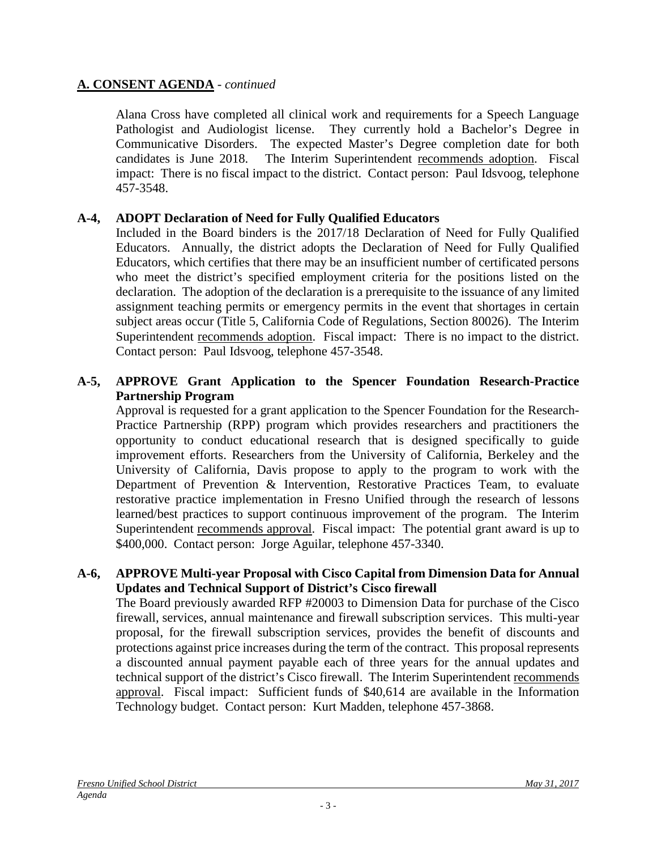Alana Cross have completed all clinical work and requirements for a Speech Language Pathologist and Audiologist license. They currently hold a Bachelor's Degree in Communicative Disorders. The expected Master's Degree completion date for both candidates is June 2018. The Interim Superintendent recommends adoption. Fiscal impact: There is no fiscal impact to the district. Contact person: Paul Idsvoog, telephone 457-3548.

# **A-4, ADOPT Declaration of Need for Fully Qualified Educators**

Included in the Board binders is the 2017/18 Declaration of Need for Fully Qualified Educators. Annually, the district adopts the Declaration of Need for Fully Qualified Educators, which certifies that there may be an insufficient number of certificated persons who meet the district's specified employment criteria for the positions listed on the declaration. The adoption of the declaration is a prerequisite to the issuance of any limited assignment teaching permits or emergency permits in the event that shortages in certain subject areas occur (Title 5, California Code of Regulations, Section 80026). The Interim Superintendent recommends adoption. Fiscal impact: There is no impact to the district. Contact person: Paul Idsvoog, telephone 457-3548.

#### **A-5, APPROVE Grant Application to the Spencer Foundation Research-Practice Partnership Program**

Approval is requested for a grant application to the Spencer Foundation for the Research-Practice Partnership (RPP) program which provides researchers and practitioners the opportunity to conduct educational research that is designed specifically to guide improvement efforts. Researchers from the University of California, Berkeley and the University of California, Davis propose to apply to the program to work with the Department of Prevention & Intervention, Restorative Practices Team, to evaluate restorative practice implementation in Fresno Unified through the research of lessons learned/best practices to support continuous improvement of the program. The Interim Superintendent recommends approval. Fiscal impact: The potential grant award is up to \$400,000. Contact person: Jorge Aguilar, telephone 457-3340.

#### **A-6, APPROVE Multi-year Proposal with Cisco Capital from Dimension Data for Annual Updates and Technical Support of District's Cisco firewall**

The Board previously awarded RFP #20003 to Dimension Data for purchase of the Cisco firewall, services, annual maintenance and firewall subscription services. This multi-year proposal, for the firewall subscription services, provides the benefit of discounts and protections against price increases during the term of the contract. This proposal represents a discounted annual payment payable each of three years for the annual updates and technical support of the district's Cisco firewall. The Interim Superintendent recommends approval. Fiscal impact: Sufficient funds of \$40,614 are available in the Information Technology budget. Contact person: Kurt Madden, telephone 457-3868.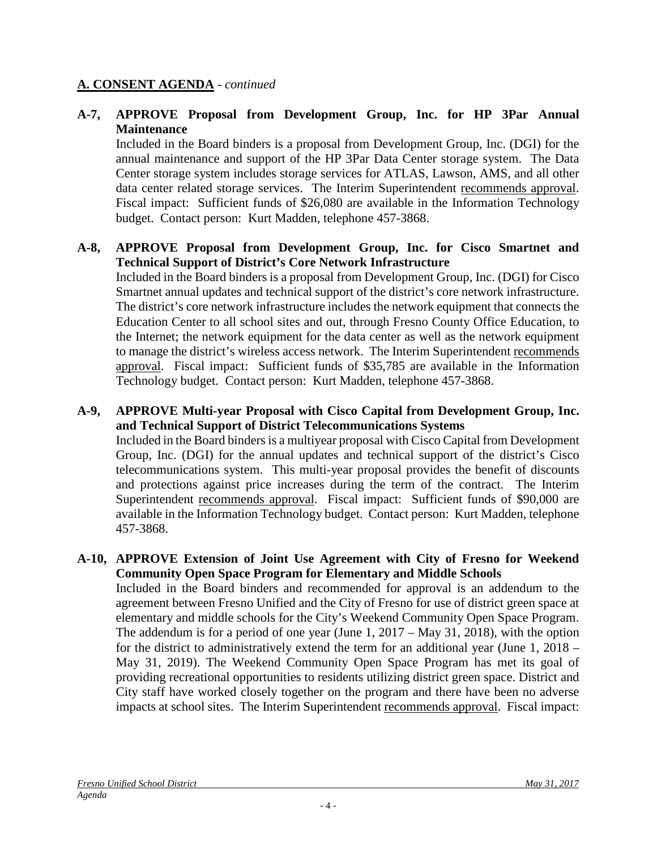## **A-7, APPROVE Proposal from Development Group, Inc. for HP 3Par Annual Maintenance**

Included in the Board binders is a proposal from Development Group, Inc. (DGI) for the annual maintenance and support of the HP 3Par Data Center storage system. The Data Center storage system includes storage services for ATLAS, Lawson, AMS, and all other data center related storage services. The Interim Superintendent recommends approval. Fiscal impact: Sufficient funds of \$26,080 are available in the Information Technology budget. Contact person: Kurt Madden, telephone 457-3868.

## **A-8, APPROVE Proposal from Development Group, Inc. for Cisco Smartnet and Technical Support of District's Core Network Infrastructure**

Included in the Board binders is a proposal from Development Group, Inc. (DGI) for Cisco Smartnet annual updates and technical support of the district's core network infrastructure. The district's core network infrastructure includes the network equipment that connects the Education Center to all school sites and out, through Fresno County Office Education, to the Internet; the network equipment for the data center as well as the network equipment to manage the district's wireless access network. The Interim Superintendent recommends approval. Fiscal impact: Sufficient funds of \$35,785 are available in the Information Technology budget. Contact person: Kurt Madden, telephone 457-3868.

## **A-9, APPROVE Multi-year Proposal with Cisco Capital from Development Group, Inc. and Technical Support of District Telecommunications Systems**

Included in the Board binders is a multiyear proposal with Cisco Capital from Development Group, Inc. (DGI) for the annual updates and technical support of the district's Cisco telecommunications system. This multi-year proposal provides the benefit of discounts and protections against price increases during the term of the contract. The Interim Superintendent recommends approval. Fiscal impact: Sufficient funds of \$90,000 are available in the Information Technology budget. Contact person: Kurt Madden, telephone 457-3868.

## **A-10, APPROVE Extension of Joint Use Agreement with City of Fresno for Weekend Community Open Space Program for Elementary and Middle Schools**

Included in the Board binders and recommended for approval is an addendum to the agreement between Fresno Unified and the City of Fresno for use of district green space at elementary and middle schools for the City's Weekend Community Open Space Program. The addendum is for a period of one year (June 1, 2017 – May 31, 2018), with the option for the district to administratively extend the term for an additional year (June 1, 2018 – May 31, 2019). The Weekend Community Open Space Program has met its goal of providing recreational opportunities to residents utilizing district green space. District and City staff have worked closely together on the program and there have been no adverse impacts at school sites. The Interim Superintendent recommends approval. Fiscal impact: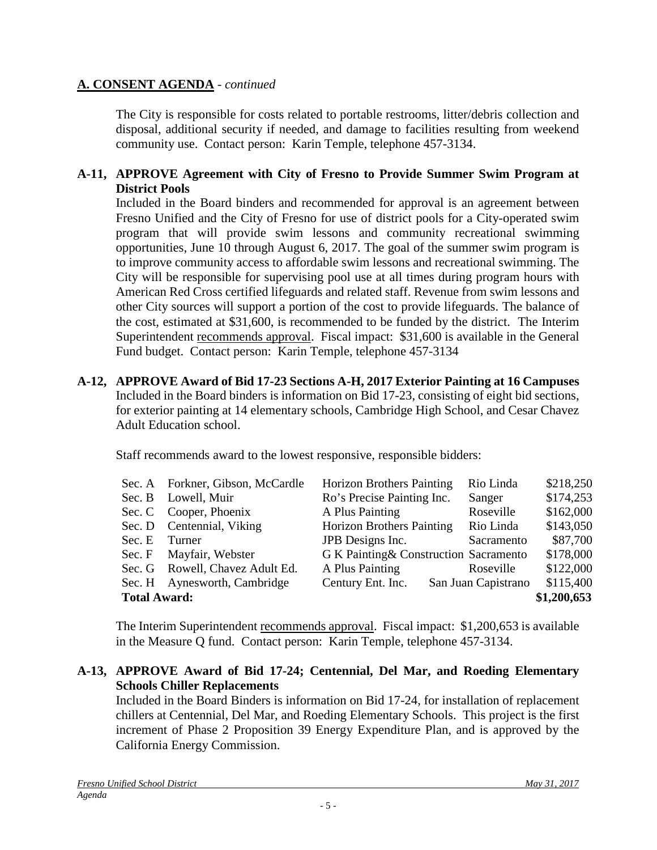The City is responsible for costs related to portable restrooms, litter/debris collection and disposal, additional security if needed, and damage to facilities resulting from weekend community use. Contact person: Karin Temple, telephone 457-3134.

## **A-11, APPROVE Agreement with City of Fresno to Provide Summer Swim Program at District Pools**

Included in the Board binders and recommended for approval is an agreement between Fresno Unified and the City of Fresno for use of district pools for a City-operated swim program that will provide swim lessons and community recreational swimming opportunities, June 10 through August 6, 2017. The goal of the summer swim program is to improve community access to affordable swim lessons and recreational swimming. The City will be responsible for supervising pool use at all times during program hours with American Red Cross certified lifeguards and related staff. Revenue from swim lessons and other City sources will support a portion of the cost to provide lifeguards. The balance of the cost, estimated at \$31,600, is recommended to be funded by the district. The Interim Superintendent recommends approval. Fiscal impact: \$31,600 is available in the General Fund budget. Contact person: Karin Temple, telephone 457-3134

**A-12, APPROVE Award of Bid 17-23 Sections A-H, 2017 Exterior Painting at 16 Campuses** Included in the Board binders is information on Bid 17-23, consisting of eight bid sections, for exterior painting at 14 elementary schools, Cambridge High School, and Cesar Chavez Adult Education school.

Staff recommends award to the lowest responsive, responsible bidders:

|                                    | Sec. A Forkner, Gibson, McCardle | <b>Horizon Brothers Painting</b>       | Rio Linda           | \$218,250 |  |
|------------------------------------|----------------------------------|----------------------------------------|---------------------|-----------|--|
|                                    | Sec. B Lowell, Muir              | Ro's Precise Painting Inc.             | Sanger              | \$174,253 |  |
|                                    | Sec. C Cooper, Phoenix           | A Plus Painting                        | Roseville           | \$162,000 |  |
|                                    | Sec. D Centennial, Viking        | <b>Horizon Brothers Painting</b>       | Rio Linda           | \$143,050 |  |
| Sec. E                             | Turner                           | JPB Designs Inc.                       | Sacramento          | \$87,700  |  |
|                                    | Sec. F Mayfair, Webster          | G K Painting & Construction Sacramento |                     | \$178,000 |  |
|                                    | Sec. G Rowell, Chavez Adult Ed.  | A Plus Painting                        | Roseville           | \$122,000 |  |
|                                    | Sec. H Aynesworth, Cambridge     | Century Ent. Inc.                      | San Juan Capistrano | \$115,400 |  |
| \$1,200,653<br><b>Total Award:</b> |                                  |                                        |                     |           |  |

The Interim Superintendent recommends approval. Fiscal impact: \$1,200,653 is available in the Measure Q fund. Contact person: Karin Temple, telephone 457-3134.

#### **A-13, APPROVE Award of Bid 17-24; Centennial, Del Mar, and Roeding Elementary Schools Chiller Replacements**

Included in the Board Binders is information on Bid 17-24, for installation of replacement chillers at Centennial, Del Mar, and Roeding Elementary Schools. This project is the first increment of Phase 2 Proposition 39 Energy Expenditure Plan, and is approved by the California Energy Commission.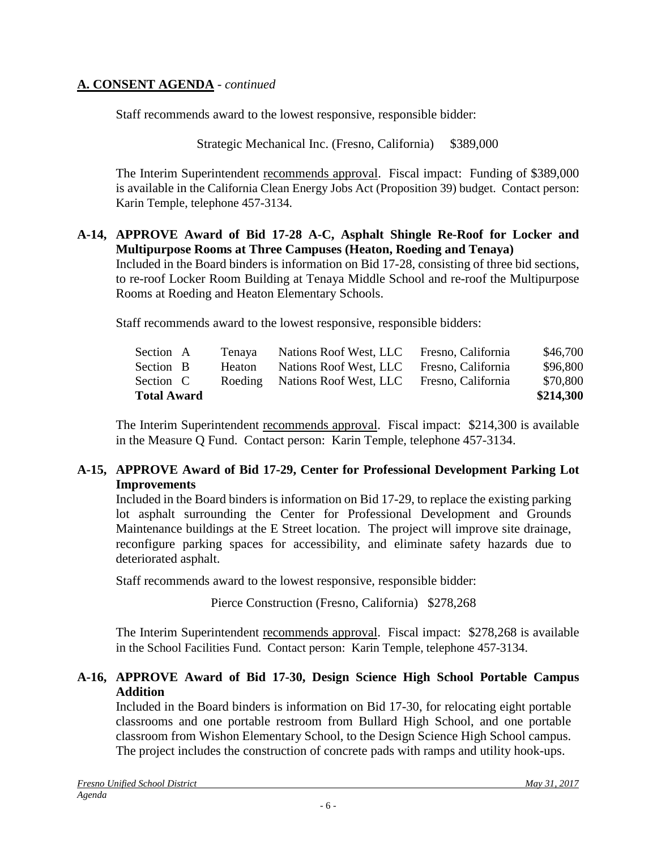Staff recommends award to the lowest responsive, responsible bidder:

Strategic Mechanical Inc. (Fresno, California) \$389,000

The Interim Superintendent recommends approval. Fiscal impact: Funding of \$389,000 is available in the California Clean Energy Jobs Act (Proposition 39) budget. Contact person: Karin Temple, telephone 457-3134.

#### **A-14, APPROVE Award of Bid 17-28 A-C, Asphalt Shingle Re-Roof for Locker and Multipurpose Rooms at Three Campuses (Heaton, Roeding and Tenaya)**

Included in the Board binders is information on Bid 17-28, consisting of three bid sections, to re-roof Locker Room Building at Tenaya Middle School and re-roof the Multipurpose Rooms at Roeding and Heaton Elementary Schools.

Staff recommends award to the lowest responsive, responsible bidders:

| Section A          |  | Tenava | Nations Roof West, LLC         | Fresno, California | \$46,700  |
|--------------------|--|--------|--------------------------------|--------------------|-----------|
| Section B          |  | Heaton | Nations Roof West, LLC         | Fresno, California | \$96,800  |
| Section C          |  |        | Roeding Nations Roof West, LLC | Fresno, California | \$70,800  |
| <b>Total Award</b> |  |        |                                |                    | \$214,300 |

The Interim Superintendent recommends approval. Fiscal impact:\$214,300 is available in the Measure Q Fund. Contact person: Karin Temple, telephone 457-3134.

## **A-15, APPROVE Award of Bid 17-29, Center for Professional Development Parking Lot Improvements**

Included in the Board binders is information on Bid 17-29, to replace the existing parking lot asphalt surrounding the Center for Professional Development and Grounds Maintenance buildings at the E Street location. The project will improve site drainage, reconfigure parking spaces for accessibility, and eliminate safety hazards due to deteriorated asphalt.

Staff recommends award to the lowest responsive, responsible bidder:

Pierce Construction (Fresno, California) \$278,268

The Interim Superintendent recommends approval. Fiscal impact:\$278,268 is available in the School Facilities Fund. Contact person: Karin Temple, telephone 457-3134.

## **A-16, APPROVE Award of Bid 17-30, Design Science High School Portable Campus Addition**

Included in the Board binders is information on Bid 17-30, for relocating eight portable classrooms and one portable restroom from Bullard High School, and one portable classroom from Wishon Elementary School, to the Design Science High School campus. The project includes the construction of concrete pads with ramps and utility hook-ups.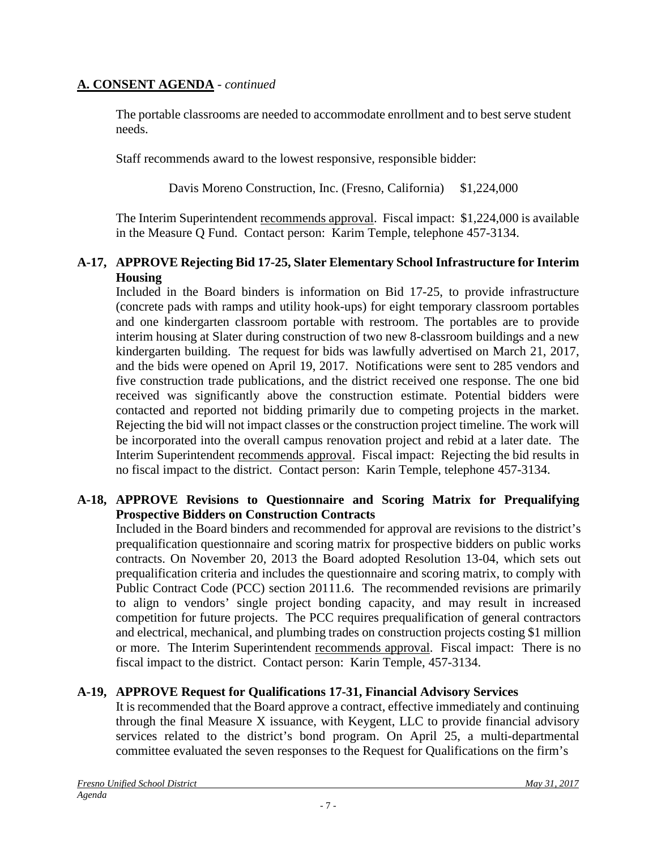The portable classrooms are needed to accommodate enrollment and to best serve student needs.

Staff recommends award to the lowest responsive, responsible bidder:

Davis Moreno Construction, Inc. (Fresno, California) \$1,224,000

The Interim Superintendent recommends approval. Fiscal impact: \$1,224,000 is available in the Measure Q Fund. Contact person: Karim Temple, telephone 457-3134.

#### **A-17, APPROVE Rejecting Bid 17-25, Slater Elementary School Infrastructure for Interim Housing**

Included in the Board binders is information on Bid 17-25, to provide infrastructure (concrete pads with ramps and utility hook-ups) for eight temporary classroom portables and one kindergarten classroom portable with restroom. The portables are to provide interim housing at Slater during construction of two new 8-classroom buildings and a new kindergarten building. The request for bids was lawfully advertised on March 21, 2017, and the bids were opened on April 19, 2017. Notifications were sent to 285 vendors and five construction trade publications, and the district received one response. The one bid received was significantly above the construction estimate. Potential bidders were contacted and reported not bidding primarily due to competing projects in the market. Rejecting the bid will not impact classes or the construction project timeline. The work will be incorporated into the overall campus renovation project and rebid at a later date. The Interim Superintendent recommends approval. Fiscal impact: Rejecting the bid results in no fiscal impact to the district. Contact person: Karin Temple, telephone 457-3134.

## **A-18, APPROVE Revisions to Questionnaire and Scoring Matrix for Prequalifying Prospective Bidders on Construction Contracts**

Included in the Board binders and recommended for approval are revisions to the district's prequalification questionnaire and scoring matrix for prospective bidders on public works contracts. On November 20, 2013 the Board adopted Resolution 13-04, which sets out prequalification criteria and includes the questionnaire and scoring matrix, to comply with Public Contract Code (PCC) section 20111.6. The recommended revisions are primarily to align to vendors' single project bonding capacity, and may result in increased competition for future projects. The PCC requires prequalification of general contractors and electrical, mechanical, and plumbing trades on construction projects costing \$1 million or more. The Interim Superintendent recommends approval. Fiscal impact: There is no fiscal impact to the district. Contact person: Karin Temple, 457-3134.

# **A-19, APPROVE Request for Qualifications 17-31, Financial Advisory Services**

It is recommended that the Board approve a contract, effective immediately and continuing through the final Measure X issuance, with Keygent, LLC to provide financial advisory services related to the district's bond program. On April 25, a multi-departmental committee evaluated the seven responses to the Request for Qualifications on the firm's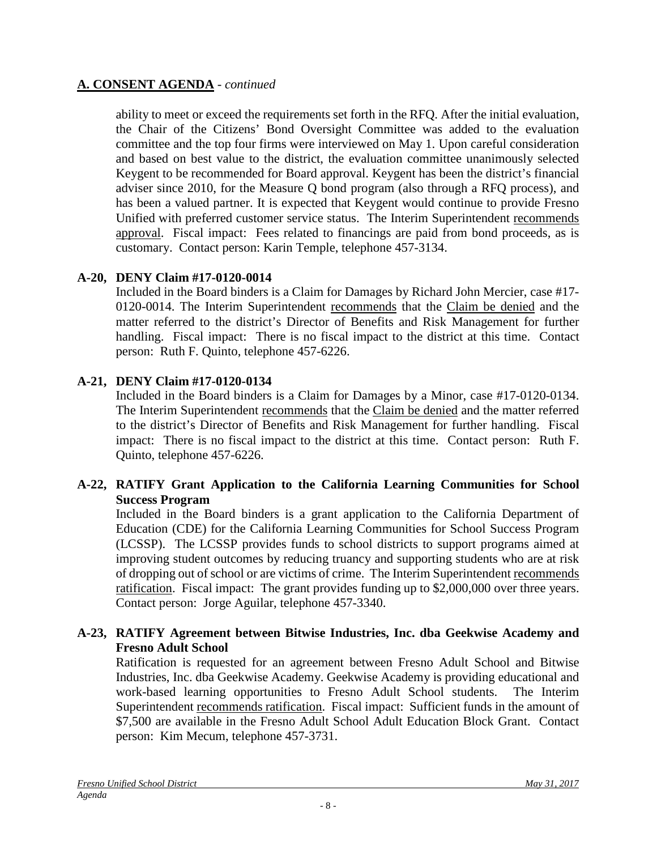ability to meet or exceed the requirements set forth in the RFQ. After the initial evaluation, the Chair of the Citizens' Bond Oversight Committee was added to the evaluation committee and the top four firms were interviewed on May 1. Upon careful consideration and based on best value to the district, the evaluation committee unanimously selected Keygent to be recommended for Board approval. Keygent has been the district's financial adviser since 2010, for the Measure Q bond program (also through a RFQ process), and has been a valued partner. It is expected that Keygent would continue to provide Fresno Unified with preferred customer service status. The Interim Superintendent recommends approval. Fiscal impact: Fees related to financings are paid from bond proceeds, as is customary. Contact person: Karin Temple, telephone 457-3134.

## **A-20, DENY Claim #17-0120-0014**

Included in the Board binders is a Claim for Damages by Richard John Mercier, case #17- 0120-0014. The Interim Superintendent recommends that the Claim be denied and the matter referred to the district's Director of Benefits and Risk Management for further handling. Fiscal impact: There is no fiscal impact to the district at this time. Contact person: Ruth F. Quinto, telephone 457-6226.

# **A-21, DENY Claim #17-0120-0134**

Included in the Board binders is a Claim for Damages by a Minor, case #17-0120-0134. The Interim Superintendent recommends that the Claim be denied and the matter referred to the district's Director of Benefits and Risk Management for further handling. Fiscal impact: There is no fiscal impact to the district at this time. Contact person: Ruth F. Quinto, telephone 457-6226.

#### **A-22, RATIFY Grant Application to the California Learning Communities for School Success Program**

Included in the Board binders is a grant application to the California Department of Education (CDE) for the California Learning Communities for School Success Program (LCSSP). The LCSSP provides funds to school districts to support programs aimed at improving student outcomes by reducing truancy and supporting students who are at risk of dropping out of school or are victims of crime. The Interim Superintendent recommends ratification. Fiscal impact: The grant provides funding up to \$2,000,000 over three years. Contact person: Jorge Aguilar, telephone 457-3340.

#### **A-23, RATIFY Agreement between Bitwise Industries, Inc. dba Geekwise Academy and Fresno Adult School**

Ratification is requested for an agreement between Fresno Adult School and Bitwise Industries, Inc. dba Geekwise Academy. Geekwise Academy is providing educational and work-based learning opportunities to Fresno Adult School students. The Interim Superintendent recommends ratification. Fiscal impact: Sufficient funds in the amount of \$7,500 are available in the Fresno Adult School Adult Education Block Grant. Contact person: Kim Mecum, telephone 457-3731.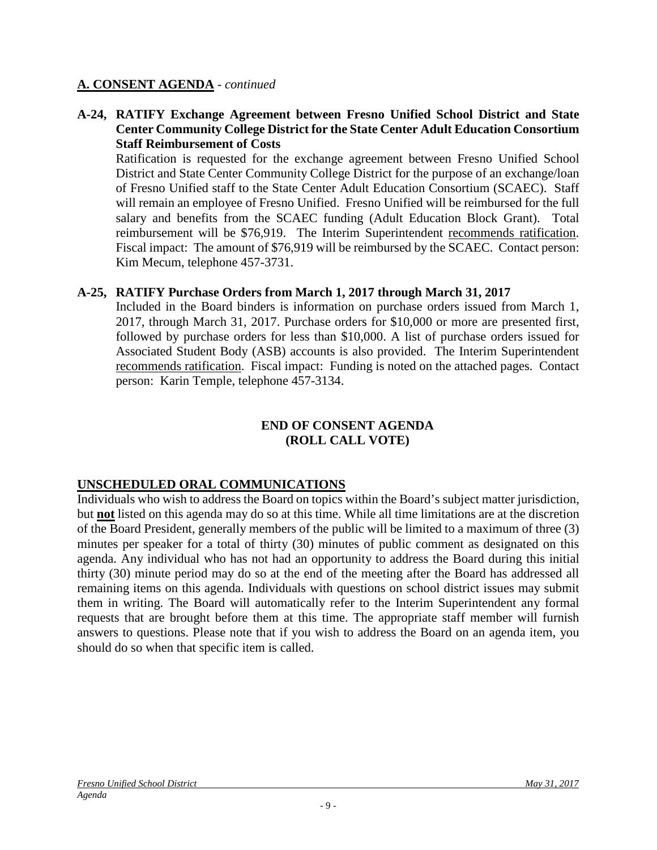#### **A-24, RATIFY Exchange Agreement between Fresno Unified School District and State Center Community College District for the State Center Adult Education Consortium Staff Reimbursement of Costs**

Ratification is requested for the exchange agreement between Fresno Unified School District and State Center Community College District for the purpose of an exchange/loan of Fresno Unified staff to the State Center Adult Education Consortium (SCAEC). Staff will remain an employee of Fresno Unified. Fresno Unified will be reimbursed for the full salary and benefits from the SCAEC funding (Adult Education Block Grant). Total reimbursement will be \$76,919. The Interim Superintendent recommends ratification. Fiscal impact: The amount of \$76,919 will be reimbursed by the SCAEC. Contact person: Kim Mecum, telephone 457-3731.

## **A-25, RATIFY Purchase Orders from March 1, 2017 through March 31, 2017**

Included in the Board binders is information on purchase orders issued from March 1, 2017, through March 31, 2017. Purchase orders for \$10,000 or more are presented first, followed by purchase orders for less than \$10,000. A list of purchase orders issued for Associated Student Body (ASB) accounts is also provided. The Interim Superintendent recommends ratification. Fiscal impact: Funding is noted on the attached pages. Contact person: Karin Temple, telephone 457-3134.

#### **END OF CONSENT AGENDA (ROLL CALL VOTE)**

# **UNSCHEDULED ORAL COMMUNICATIONS**

Individuals who wish to address the Board on topics within the Board's subject matter jurisdiction, but **not** listed on this agenda may do so at this time. While all time limitations are at the discretion of the Board President, generally members of the public will be limited to a maximum of three (3) minutes per speaker for a total of thirty (30) minutes of public comment as designated on this agenda. Any individual who has not had an opportunity to address the Board during this initial thirty (30) minute period may do so at the end of the meeting after the Board has addressed all remaining items on this agenda. Individuals with questions on school district issues may submit them in writing. The Board will automatically refer to the Interim Superintendent any formal requests that are brought before them at this time. The appropriate staff member will furnish answers to questions. Please note that if you wish to address the Board on an agenda item, you should do so when that specific item is called.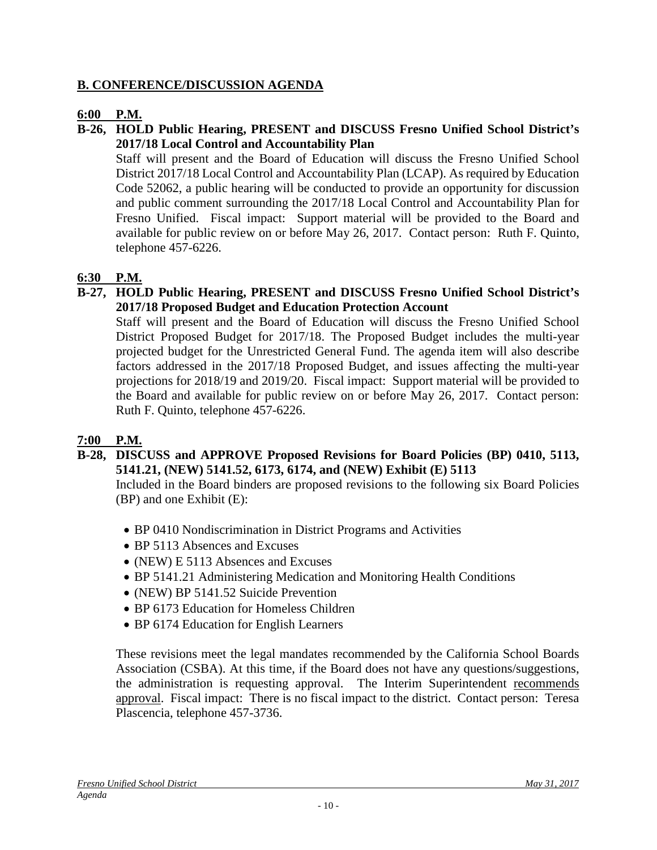# **B. CONFERENCE/DISCUSSION AGENDA**

## **6:00 P.M.**

#### **B-26, HOLD Public Hearing, PRESENT and DISCUSS Fresno Unified School District's 2017/18 Local Control and Accountability Plan**

Staff will present and the Board of Education will discuss the Fresno Unified School District 2017/18 Local Control and Accountability Plan (LCAP). As required by Education Code 52062, a public hearing will be conducted to provide an opportunity for discussion and public comment surrounding the 2017/18 Local Control and Accountability Plan for Fresno Unified. Fiscal impact: Support material will be provided to the Board and available for public review on or before May 26, 2017. Contact person: Ruth F. Quinto, telephone 457-6226.

# **6:30 P.M.**

**B-27, HOLD Public Hearing, PRESENT and DISCUSS Fresno Unified School District's 2017/18 Proposed Budget and Education Protection Account**

Staff will present and the Board of Education will discuss the Fresno Unified School District Proposed Budget for 2017/18. The Proposed Budget includes the multi-year projected budget for the Unrestricted General Fund. The agenda item will also describe factors addressed in the 2017/18 Proposed Budget, and issues affecting the multi-year projections for 2018/19 and 2019/20. Fiscal impact: Support material will be provided to the Board and available for public review on or before May 26, 2017. Contact person: Ruth F. Quinto, telephone 457-6226.

# **7:00 P.M.**

**B-28, DISCUSS and APPROVE Proposed Revisions for Board Policies (BP) 0410, 5113, 5141.21, (NEW) 5141.52, 6173, 6174, and (NEW) Exhibit (E) 5113**

Included in the Board binders are proposed revisions to the following six Board Policies (BP) and one Exhibit (E):

- BP 0410 Nondiscrimination in District Programs and Activities
- BP 5113 Absences and Excuses
- (NEW) E 5113 Absences and Excuses
- BP 5141.21 Administering Medication and Monitoring Health Conditions
- (NEW) BP 5141.52 Suicide Prevention
- BP 6173 Education for Homeless Children
- BP 6174 Education for English Learners

These revisions meet the legal mandates recommended by the California School Boards Association (CSBA). At this time, if the Board does not have any questions/suggestions, the administration is requesting approval. The Interim Superintendent recommends approval. Fiscal impact: There is no fiscal impact to the district. Contact person: Teresa Plascencia, telephone 457-3736.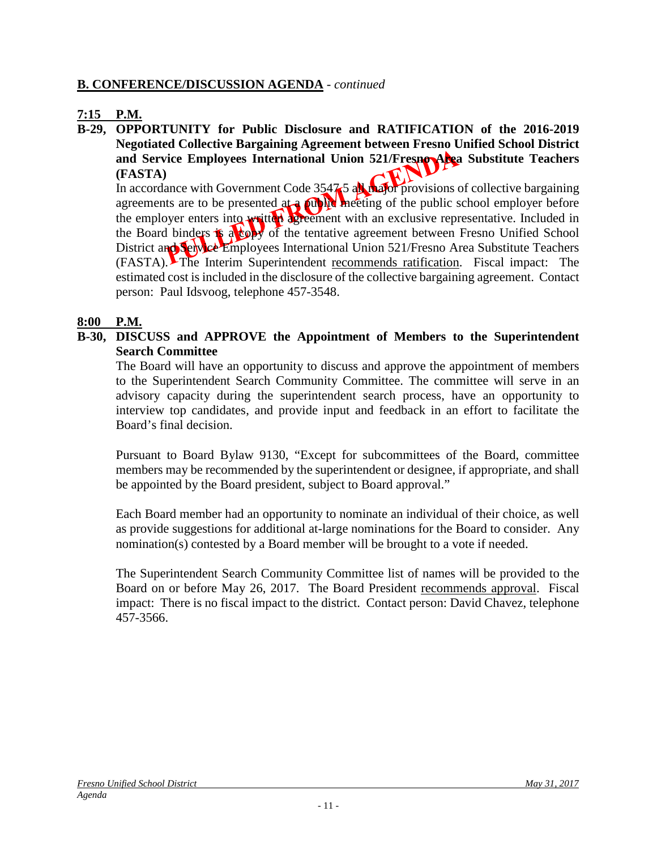#### **B. CONFERENCE/DISCUSSION AGENDA** - *continued*

# **7:15 P.M.**

**B-29, OPPORTUNITY for Public Disclosure and RATIFICATION of the 2016-2019 Negotiated Collective Bargaining Agreement between Fresno Unified School District**  and Service Employees International Union 521/Fresno Area Substitute Teachers **(FASTA)**

In accordance with Government Code 3547.5 all major provisions of collective bargaining agreements are to be presented at a public meeting of the public school employer before the employer enters into written agreement with an exclusive representative. Included in the Board binders **is a copy** of the tentative agreement between Fresno Unified School District and Service Employees International Union 521/Fresno Area Substitute Teachers (FASTA). The Interim Superintendent recommends ratification. Fiscal impact: The estimated cost is included in the disclosure of the collective bargaining agreement. Contact person: Paul Idsvoog, telephone 457-3548.

#### **8:00 P.M.**

**B-30, DISCUSS and APPROVE the Appointment of Members to the Superintendent Search Committee**

The Board will have an opportunity to discuss and approve the appointment of members to the Superintendent Search Community Committee. The committee will serve in an advisory capacity during the superintendent search process, have an opportunity to interview top candidates, and provide input and feedback in an effort to facilitate the Board's final decision.

Pursuant to Board Bylaw 9130, "Except for subcommittees of the Board, committee members may be recommended by the superintendent or designee, if appropriate, and shall be appointed by the Board president, subject to Board approval."

Each Board member had an opportunity to nominate an individual of their choice, as well as provide suggestions for additional at-large nominations for the Board to consider. Any nomination(s) contested by a Board member will be brought to a vote if needed.

The Superintendent Search Community Committee list of names will be provided to the Board on or before May 26, 2017. The Board President recommends approval. Fiscal impact: There is no fiscal impact to the district. Contact person: David Chavez, telephone 457-3566.